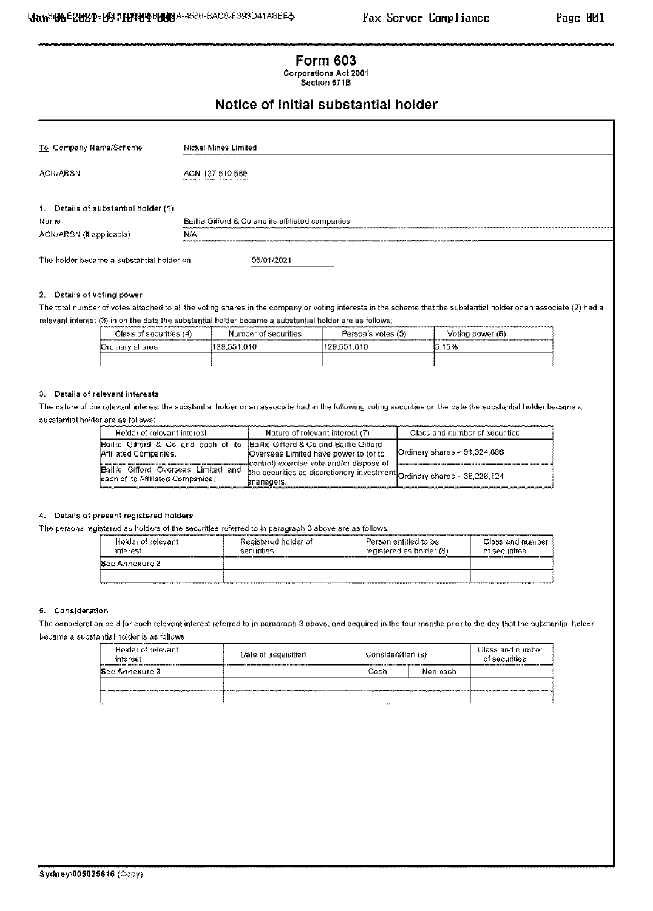## **Form 603** Corporations Act 2001

Section 671B

# Notice of initial substantial holder

| To Company Name/Scheme                    | Nickel Mines Limited                              |
|-------------------------------------------|---------------------------------------------------|
| ACN/ARSN                                  | ACN 127 510 589                                   |
|                                           |                                                   |
| 1. Details of substantial holder (1)      |                                                   |
| Name                                      | Baillie Gifford & Co and its affiliated companies |
| ACN/ARSN (if applicable)                  | N/A                                               |
| The holder became a substantial holder on | 05/01/2021                                        |

### 2. Details of voting power

The total number of votes attached to all the voting shares in the company or voting interests in the scheme that the substantial holder or an associate (2) had a relevant interest (3) in on the date the substantial holder became a substantial holder are as follows;

| Class of securities (4). | Number of securities | Person's votes (5) | Voting power (6) |
|--------------------------|----------------------|--------------------|------------------|
| Ordinary shares          | 129.551.010          | 129.551.010        | 15.15%           |
|                          |                      |                    |                  |

### 3. Details of relevant interests

The nature of the relevant interest the substantial holder or an associate had in the following voting securities on the date the substantial holder became a substantial holder are as follows:

| Holder of relevant interest                                                                             | Nature of relevant interest (7)                                                                      | Class and number of securities |
|---------------------------------------------------------------------------------------------------------|------------------------------------------------------------------------------------------------------|--------------------------------|
| Baillie Gifford & Co and each of its Baillie Gifford & Co and Baillie Gifford<br>IAffiliated Companies. | ¡Overseas Limited have power to (or to                                                               | Ordinary shares ~ 91,324,886   |
| Baillie Gifford Overseas Limited and<br>leach of its Affiliated Companies,                              | the securities as discretionary investment $_{\rm Ordinary\,\, shares\,\,-}$ 38,226,124<br>manaders. |                                |

### 4. Details of present registered holders

The persons registered as holders of the securities referred to in paragraph 3 above are as follows:

| Holder of relevant.<br>interest | Registered holder of<br>securities | Person entitled to be<br>registered as holder (8) | Class and number<br>of securities |  |
|---------------------------------|------------------------------------|---------------------------------------------------|-----------------------------------|--|
| lSee Annexure 2                 |                                    |                                                   |                                   |  |
|                                 |                                    |                                                   |                                   |  |

#### 5. Consideration

The consideration paid for each relevant interest referred to in paragraph 3 above, and acquired in the four months prior to the day that the substantial holder became a substantial holder is as follows:

| Holder of relevant.<br>interest | Date of acquisition | Consideration (9) |           | Class and number<br>of securities.                            |
|---------------------------------|---------------------|-------------------|-----------|---------------------------------------------------------------|
| lSee Annexure 3                 |                     | Cash              | Non-cashi |                                                               |
|                                 |                     |                   |           | -proposition continues and continues processes are applicable |
|                                 |                     |                   |           |                                                               |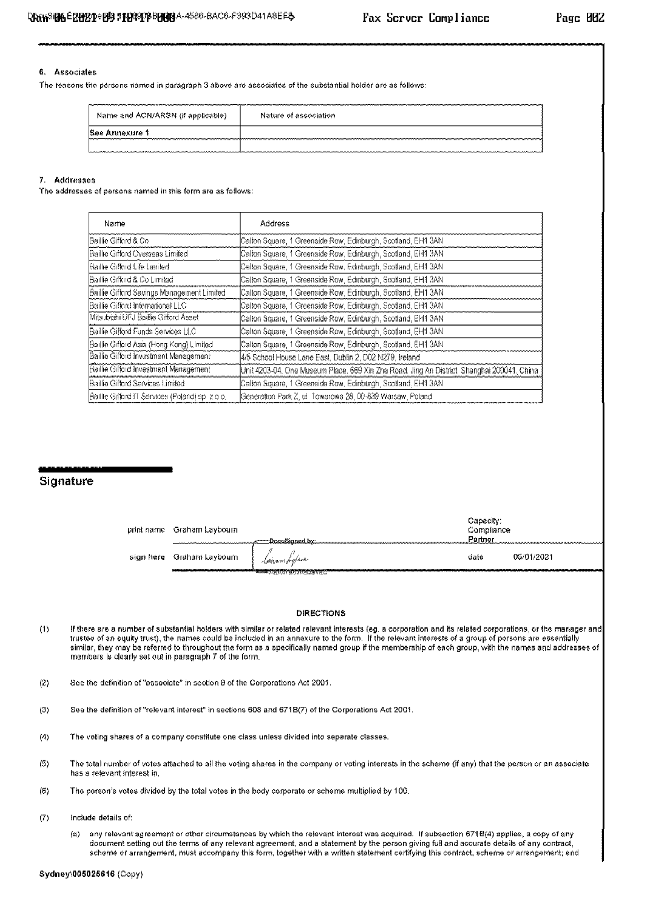### 6. Associates

The reasons the persons named in paragraph 3 above are associates of the substantial holder are as follows:

| Name and ACN/ARSN (if applicable) | Nature of association. |
|-----------------------------------|------------------------|
| Annexure                          |                        |
| mmm                               |                        |

### 7. Addresses

The addresses of persons named in this form are as follows:

| Name                                            | Address                                                                                     |
|-------------------------------------------------|---------------------------------------------------------------------------------------------|
| Baillie Gifford & Co                            | Calton Square, 1 Greenside Row, Edinburgh, Scotland, EH1 3AN                                |
| Baillie Gifford Overseas Limifed                | Calton Square, 1 Greenside Row, Edinburgh, Scotland, EH1 3AN                                |
| Baillie Gifford Life Limited                    | Calton Square, 1 Greenside Row, Edinburgh, Scotland, EH1 3AN                                |
| Baillie Gifford & Columited                     | Calton Square, 1 Greenside Row, Edinburgh, Scotland, EH1 3AN                                |
| Baillie Gifford Savings Management Limited      | Calton Square, 1 Greenside Row, Edinburgh, Scotland, EH1 3AN                                |
| Baillie Gifford International LLC               | Calton Square, 1 Greenside Row, Edinburgh, Scotland, EH1 3AN                                |
| Mitsubishi UFJ Baillie Gifford Asset            | Callon Square, 1 Greenside Row, Edinburgh, Scotland, EM1 3AN                                |
| Baillie Gifford Funds Services LLC              | Calton Square, 1 Greenside Row, Edinburgh, Scotland, EH1 3AN                                |
| Baillie Gifford Asia (Hong Kong) Limited        | Calton Square, 1 Greenside Row, Edinburgh, Scotland, EH1 3AN                                |
| Baillie Gifford Investment Management           | 4/5 School House Lane East, Dublin 2, D02 N279, Ireland.                                    |
| Baillie Gifford Investment Management           | Unit 4203-04, One Museum Place, 669 Xin Zha Road. Jing An District. Shanghai 200041, China. |
| Baillie Gifford Services Limited                | Calton Square, 1 Greenside Row, Edinburgh, Scotland, EH1 3AN                                |
| Baillie Gifford IT Services (Poland) ap- 2 o.o. | Generation Fark Z, ul. Towarowa 28, 00-839 Warsaw, Polandi                                  |

# Signature

| -print-name - Graham Laybourn |                              | Capacity<br>Compliance |                                                                                                                |
|-------------------------------|------------------------------|------------------------|----------------------------------------------------------------------------------------------------------------|
|                               | . <del></del> .DoouSigned.bx | .Eartusu               | AN EERAA HERRIE VAN DE WAARDEN VAN DE DE WAARDEN VAN DE GEBEURE VAN DE DE GEBEURE VAN DE GEBEURE VAN DE GEBEUR |
| sign here Graham Laybourn     | - - Cannan Lughann           | date                   | 05/01/2021                                                                                                     |
|                               |                              |                        |                                                                                                                |

#### **DIRECTIONS**

- $(1)$ If there are a number of substantial holders with similar or related relevant interests (eg. a corporation and its related corporations, or the manager and trustee of an equity trust), the names could be included in an annexure to the form. If the relevant interests of a group of persons are essentially similar, they may be referred to throughout the form as a specifically named group if the membership of each group, with the names and addresses of members is clearly set out in paragraph 7 of the form.
- See the definition of "associate" in section 9 of the Corporations Act 2001.  $(2)$
- $(3)$ See the definition of "relevant interest" in sections 608 and 671B(7) of the Corporations Act 2001.
- The voting shares of a company constitute one class unless divided into separate classes.  $(4)$
- $(5)$ The total number of votes attached to all the voting shares in the company or voting interests in the scheme (if any) that the person or an associate has a relevant interest in.
- $(6)$ The person's votes divided by the total votes in the body corporate or scheme multiplied by 100.
- $(7)$ Include details of:
	- any relevant agreement or other circumstances by which the relevant interest was acquired. If subsection 6718(4) applies, a copy of any  $(4)$ document setting out the terms of any relevant agreement, and a statement by the person giving full and accurate details of any contract, scheme or arrangement, must accompany this form, together with a written statement certifying this contract, scheme or arrangement; and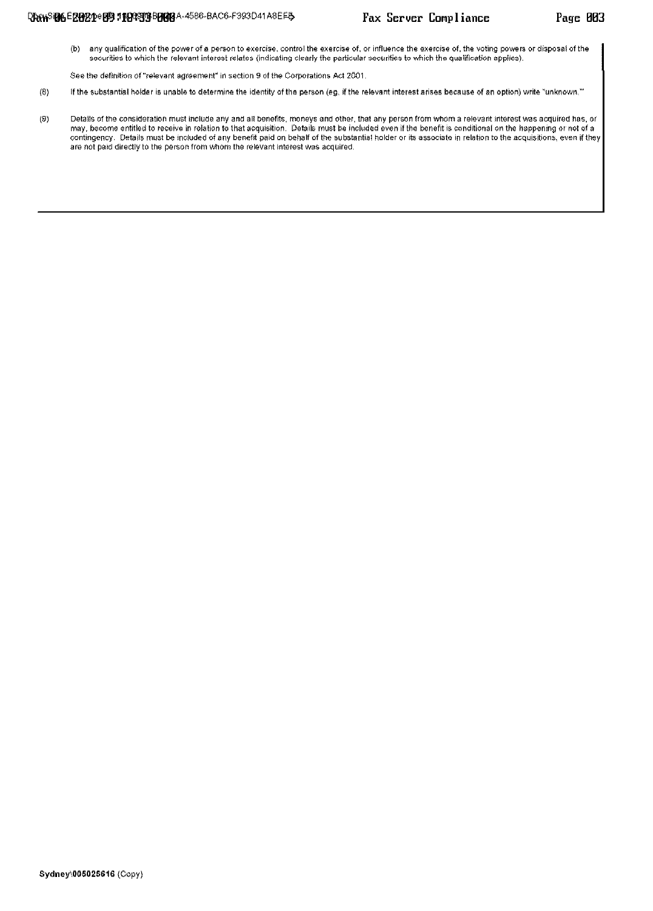- any qualification of the power of a person to exercise, control the exercise of, or influence the exercise of, the voting powers or disposal of the  $(b)$ securities to which the relevant interest relates (indicating clearly the particular securities to which the qualification applies).
- See the definition of "relevant agreement" in section 9 of the Corporations Act 2001.
- $(8)$ If the substantial holder is unable to determine the identity of the person (eg, if the relevant interest arises because of an option) write "unknown,"
- $(9)$ Details of the consideration must include any and all benefits, moneys and other, that any person from whom a relevant interest was acquired has, or may, become entitled to receive in relation to that acquisition. Details must be included even if the benefit is conditional on the happening or not of a contingency. Details must be included of any benefit paid on behalf of the substantial holder or its associate in relation to the acquisitions, even if they are not paid directly to the person from whom the relevant interest was acquired.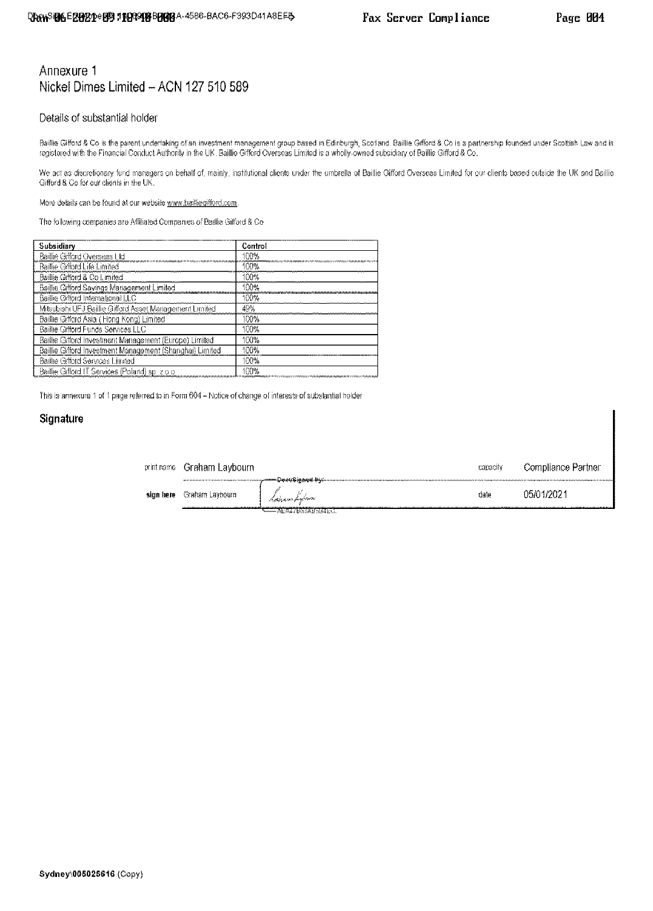# Annexure 1 Nickel Dimes Limited - ACN 127 510 589

## Details of substantial holder

Baillie Gifford & Co is the parent undertaking of an investment management group based in Edinburgh, Scotland. Baillie Gifford & Co is a partnership founded under Scottish Law and is registered with the Financial Conduct Authority in the UK. Baillie Gifford Overseas Limited is a wholly-owned subsidiary of Baillie Gifford & Co.

We act as discretionary fund managers on behalf of, mainly, institutional clients under the umbrella of Baillie Gifford Overseas Limited for our clients based outside the UK and Baillie Gifford & Co for our clients in the UK.

More details can be found at our website www.bailliegifford.com.

The following companies are Affiliated Companies of Baillie Gifford & Co.

| Subsidiary                                               | Control |
|----------------------------------------------------------|---------|
| Baillie Gifford Overseas LId                             | 100%    |
| <b>Baillie Gifford Life Limited</b>                      | 100%    |
| Baillie Gifford & Co Limited                             | IOO %   |
| Baillie Gifford Savings Management Limited               | 1ስበሚ    |
| Baillie Gifford International LLC                        | 100%    |
| Mitsubishi UFJ Baillie Gifford Asset Management Limited  | 49%     |
| Baillie Gifford Asia (Hong Kong) Limited                 | 100%    |
| Baillie Gifford Funds Services LLC                       | 100%    |
| Baillie Gifford Investment Management (Europe) Limited   | 100%    |
| Baillie Gifford Investment Management (Shanghai) Limited | 100%    |
| Bailte Gifford Services Limited                          | 100%    |
| Baillie Gifford IT Services (Poland) sp. z o o           | אחרו    |

This is annexure 1 of 1 page referred to in Form 604 - Notice of change of interests of substantial holder

## Signature

| print name | Graham Laybourn |                           | capacity | Compliance Partner |
|------------|-----------------|---------------------------|----------|--------------------|
| sign here  | Graham Laybourn | - Instrucce finferenc     | date     | 05/01/2021         |
|            |                 | <b>- AEAT/BRIADSBIECT</b> |          |                    |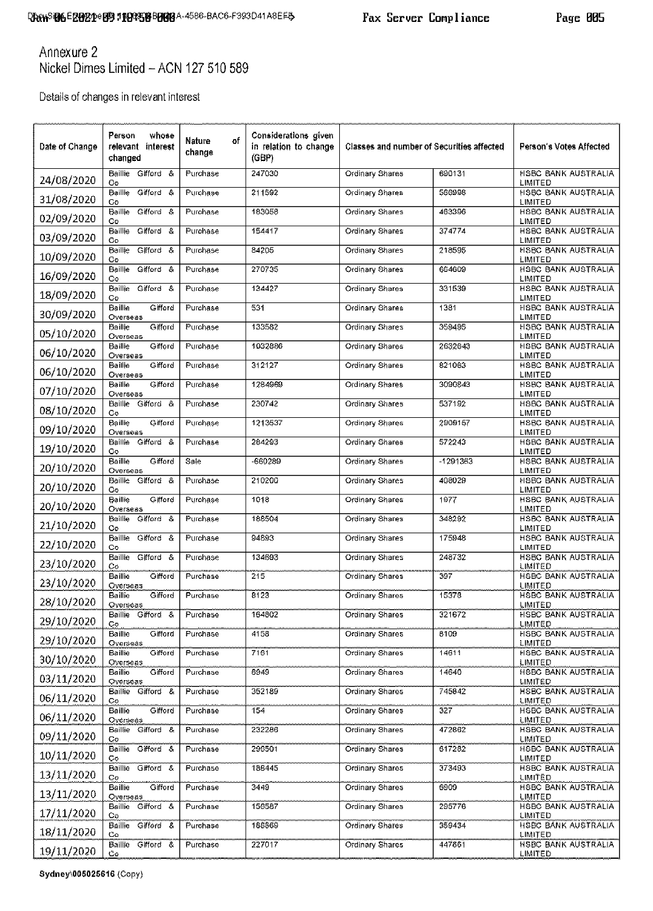Page 005

Annexure 2 Nickel Dimes Limited - ACN 127 510 589

Details of changes in relevant interest

| Date of Change | Person<br>whose<br>relevant interest<br>changed | Nature<br>οf<br>change | Considerations given<br>in relation to change<br>(GBP) | <b>Classes and number of Securities affected</b> |          | Person's Votes Affected                      |
|----------------|-------------------------------------------------|------------------------|--------------------------------------------------------|--------------------------------------------------|----------|----------------------------------------------|
| 24/08/2020     | Baillie Gifford &<br>Co                         | Purchase               | 247030                                                 | Ordinary Shares                                  | 690131   | <b>HSBC BANK AUSTRALIA</b><br>LIMITED        |
| 31/08/2020     | Gatord &<br>Baille<br>Co                        | Purchase               | 211592                                                 | Ordinary Shares                                  | 566998   | <b>HSBC BANK AUSTRALIA</b><br>LIMITED        |
| 02/09/2020     | Gaford &<br>Baillte<br>Co                       | Purchase               | 183058                                                 | <b>Ordinary Shares</b>                           | 463396   | HSBC BANK AUSTRALIA<br>LIMITED               |
| 03/09/2020     | Gifford &<br>Baille<br>Co                       | Purchase               | 154417                                                 | Ordinary Shares                                  | 374774   | <b>HSBC BANK AUSTRALIA</b><br>LIMITED        |
| 10/09/2020     | Gifford &<br><b>Baille</b><br>Co                | Purchase               | 84205                                                  | Ordinary Shares                                  | 218595   | <b>HSBC BANK AUSTRALIA</b><br>LIMITED        |
| 16/09/2020     | Gistord &<br>Baille<br>Co                       | Purchase               | 270735                                                 | Ordinary Shares                                  | 664609   | <b>HSBC BANK AUSTRALIA</b><br>LIMITED        |
| 18/09/2020     | Baillie Gifford &<br>Co                         | Furchase               | 134427                                                 | Ordinary Shares                                  | 331539   | <b>HSBC BANK AUSTRALIA</b><br>LIMITED        |
| 30/09/2020     | <b>Baille</b><br>Cifford<br>Overseas            | Purchase               | 531                                                    | Ordinary Shares                                  | 1381     | <b>HSBC BANK AUSTRALIA</b><br>LIMITED        |
| 05/10/2020     | Gifford<br>Bailte<br>Overseas                   | Furchase               | 133582                                                 | Ordinary Shares                                  | 359495   | HSBC BANK AUSTRALIA<br>LIMITED               |
| 06/10/2020     | Baille<br>Gifford<br>Overseas                   | Furchase               | 1032886                                                | Ordinary Shares                                  | 2632643  | HSBC BANK AUSTRALIA<br>LIMITED               |
| 06/10/2020     | <b>Oifford</b><br>Baille<br>Overseas            | Furchase               | 312127                                                 | Ordinary Shares                                  | 821063   | <b>HSBC BANK AUSTRALIA</b><br>LIMITED        |
| 07/10/2020     | Baillie<br>Cifford<br>Overseas                  | Purchase               | 1284969                                                | Ordinary Shares                                  | 3090843  | <b>HSBC BANK AUSTRALIA</b><br>LIMITED        |
| 08/10/2020     | Baillie Gifford &<br>Co                         | Purchase               | 230742                                                 | Ordinary Shares                                  | 537192   | HSBC BANK AUSTRALIA<br>LIMITED               |
| 09/10/2020     | <b>Baille</b><br>Giftord<br>Overseas            | Furchase               | 1213537                                                | Ordinary Shares                                  | 2909157  | <b>HSBC BANK AUSTRALIA</b><br>LIMITED        |
| 19/10/2020     | Baillie Oifford &<br>Co                         | Purchase               | 284293                                                 | Ordinary Shares                                  | 572243   | HSBC BANK AUSTRALIA<br>LIMITED               |
| 20/10/2020     | <b>Oifford</b><br>Baille<br>Overseas            | Sale                   | -660289                                                | Ordinary Shares                                  | -1291363 | <b>HSBC BANK AUSTRALIA</b><br>LIMITED        |
| 20/10/2020     | Baillie Gifford &<br>Co                         | Purchase               | 210200                                                 | Ordinary Shares                                  | 408029   | HSBC BANK AUSTRALIA<br>LIMITED               |
| 20/10/2020     | Baillie.<br>Giftord<br>Overseas                 | Furchase               | 1018                                                   | Ordinary Shares                                  | 1977     | HSBC BANK AUSTRALIA<br><b>LIMITED</b>        |
| 21/10/2020     | Baille.<br>Gifford &<br>Co                      | Purchase               | 188504                                                 | Ordinary Shares                                  | 348292   | HSBC BANK AUSTRALIA<br>LIMITED               |
| 22/10/2020     | Baillie Gifford &<br>Co                         | Purchase               | 94893                                                  | Ordinary Shares                                  | 175948   | HSBC BANK AUSTRALIA<br><b>LIMITED</b>        |
| 23/10/2020     | Gistord &<br>Baillle<br>Сó                      | Furchase               | 134693                                                 | Ordinary Shares                                  | 248732   | HSBC BANK AUSTRALIA<br><b>LIMITED</b>        |
| 23/10/2020     | Oifford<br>Baillie<br>Overseas                  | Purchase               | 215                                                    | Ordinary Shares                                  | 397      | HSBC BANK AUSTRALIA<br><b>LIMITED</b>        |
| 28/10/2020     | Gifford<br>Baillie<br>Overseas                  | Purchase               | 8123                                                   | Ordinary Shares                                  | 15378    | HSBC BANK AUSTRALIA<br>LIMITED               |
| 29/10/2020     | Baillie Gifford &<br>Co                         | Purchase               | 164802                                                 | Ordinary Shares                                  | 321672   | HSBC BANK AUSTRALIA<br>LIMITED               |
| 29/10/2020     | Gifford<br>Baillie<br>Overseas                  | Purchase               | 4158                                                   | Ordinary Shares                                  | 8109     | <b>HSBC BANK AUSTRALIA</b><br>LIMITED        |
| 30/10/2020     | Gifford<br>Baillie<br>Overseas                  | Purchase               | 7161                                                   | Ordinary Shares                                  | 14611    | HSBC BANK AUSTRALIA<br>LIMITED               |
| 03/11/2020     | Gifford<br>Baillis<br>Overseas                  | Purchase               | 6949                                                   | Ordinary Shares                                  | 14640    | HSBC BANK AUSTRALIA<br>LIMITED               |
| 06/11/2020     | Baillie Gifford &<br>Сo                         | Purchase               | 352189                                                 | Ordinary Shares                                  | 745842   | HSBC BANK AUSTRALIA<br>LIMITED               |
| 06/11/2020     | Baillie<br>Gifford<br>Overseas                  | Purchase               | 154                                                    | Ordinary Shares                                  | 327      | HSBC BANK AUSTRALIA<br>LIMITED               |
| 09/11/2020     | Baillie Gifford &<br>Co                         | Purchase               | 232286                                                 | Ordinary Shares                                  | 472662   | HSBC BANK AUSTRALIA<br><b>LIMITED</b>        |
| 10/11/2020     | Baillie Gifford &<br>Co                         | Purchase               | 296501                                                 | Ordinary Shares                                  | 617282   | HSBC BANK AUSTRALIA<br>LIMITED               |
| 13/11/2020     | Baillie Gifford &<br>Co                         | Purchase               | 186445                                                 | Ordinary Shares                                  | 373493   | HSBC BANK AUSTRALIA<br>LIMITED               |
| 13/11/2020     | Baillie<br>Gifford<br>Overseas                  | Purchase               | 3449                                                   | Ordinary Shares                                  | 6909     | <b>HSBC BANK AUSTRALIA</b><br><b>LIMITED</b> |
| 17/11/2020     | Baillie Gifford &<br>Сņ                         | Purchase               | 156587                                                 | Ordinary Shares                                  | 295776   | HSBC BANK AUSTRALIA<br><b>LIMITED</b>        |
| 18/11/2020     | Baillie Gifford &<br>Сo                         | Purchase               | 188869                                                 | Ordinary Shares                                  | 359434   | HSBC BANK AUSTRALIA<br>LIMITED               |
| 19/11/2020     | Baillie Gifford &<br>Cо                         | Purchase               | 227017                                                 | Ordinary Shares                                  | 447861   | HSBC BANK AUSTRALIA<br>LIMITED               |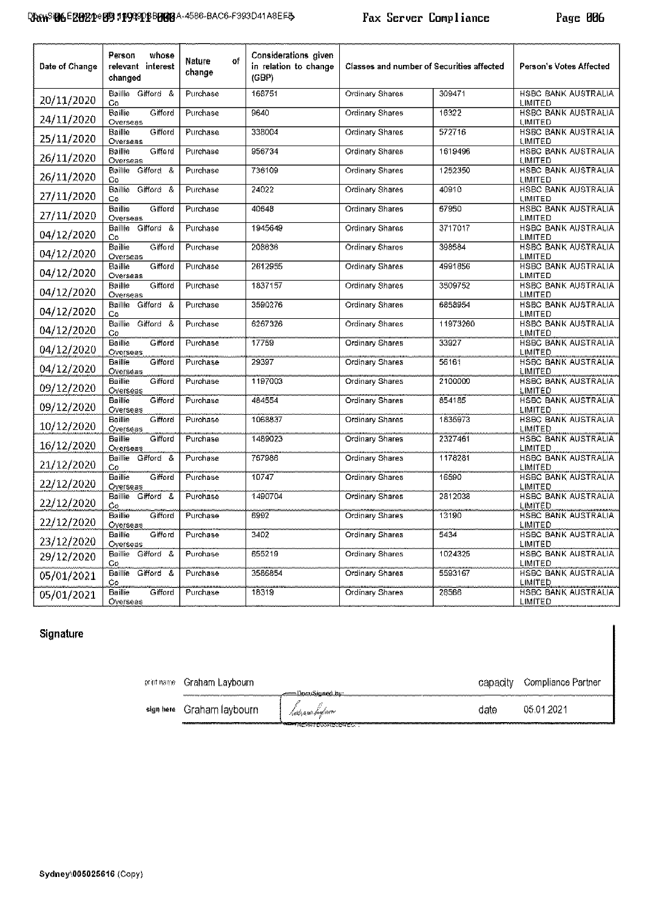| Date of Change | Person<br>whose<br>relevant interest<br>changed | of<br>Nature<br>change | Considerations given<br>in relation to change<br>(GBP) | <b>Classes and number of Securities affected</b> |          | Person's Votes Affected                      |
|----------------|-------------------------------------------------|------------------------|--------------------------------------------------------|--------------------------------------------------|----------|----------------------------------------------|
| 20/11/2020     | Baillie Gaford &<br>Co                          | Purchase               | 168751                                                 | Ordinary Shares                                  | 309471   | HSBC BANK AUSTRALIA<br><b>LIMITED</b>        |
| 24/11/2020     | Cifford<br>Baillie<br>Overseas                  | Purchase               | 9640                                                   | Ordinary Shares                                  | 16322    | <b>HSBC BANK AUSTRALIA</b><br><b>LIMITED</b> |
| 25/11/2020     | <b>Baillie</b><br>Gifford<br>Overseas           | Purchase               | 338004                                                 | Ordinary Shares                                  | 572716   | HSBC BANK AUSTRALIA<br><b>LIMITED</b>        |
| 26/11/2020     | Giftord<br>Baillie:<br>Overseas                 | Purchase               | 956734                                                 | Ordinary Shares                                  | 1619496  | <b>HSBC BANK AUSTRALIA</b><br><b>LIMITED</b> |
| 26/11/2020     | Baillie Gifford &<br>Cо                         | Purchase               | 736109                                                 | Ordinary Shares                                  | 1252350  | <b>HSBC BANK AUSTRALIA</b><br><b>LIMITED</b> |
| 27/11/2020     | Baillie Gifford &<br>Co                         | Purchase               | 24022                                                  | Ordinary Shares                                  | 40910    | <b>HSBC BANK AUSTRALIA</b><br><b>LIMITED</b> |
| 27/11/2020     | Baillio<br>Gifford<br>Overseas                  | Purchase               | 40648                                                  | Ordinary Shares                                  | 67950    | <b>HSBC BANK AUSTRALIA</b><br>LIMITED        |
| 04/12/2020     | Baillie Gifford &<br>C٥                         | Purchase               | 1945649                                                | Ordinary Shares                                  | 3717017  | <b>HSBC BANK AUSTRALIA</b><br>LIMITED        |
| 04/12/2020     | Baillio<br>Giftord<br>Overseas                  | Purchase               | 208636                                                 | Ordinary Shares                                  | 398584   | HSBC BANK AUSTRAUA<br>LIMITED                |
| 04/12/2020     | Cifford<br>Baille<br>Overseas                   | Purchase               | 2612955                                                | Ordinary Shares                                  | 4991856  | <b>HSBC BANK AUSTRALIA</b><br>LIMITED        |
| 04/12/2020     | Bailte<br>Gifford<br>Overseas                   | Purchase               | 1837157                                                | Ordinary Shares                                  | 3509752  | <b>HSBC BANK AUSTRALIA</b><br>LIMITED        |
| 04/12/2020     | Baillie Gäford &<br>Co                          | Purchase               | 3590276                                                | Ordinary Shares                                  | 6858954  | <b>HSBC BANK AUSTRALIA</b><br>LIMITED        |
| 04/12/2020     | Baillie Gifford &<br>Cо                         | Purchase               | 6267326                                                | Ordinary Shares                                  | 11973260 | <b>HSBC BANK AUSTRALIA</b><br>LIMITED        |
| 04/12/2020     | Baillie<br>Gifford<br>Overseas                  | Purchase               | 17759                                                  | Ordinary Shares                                  | 33927    | <b>HSBC BANK AUSTRALIA</b><br><b>LIMITED</b> |
| 04/12/2020     | Baillie<br>Gifford<br>Overseas                  | Purchase               | 29397                                                  | Ordinary Shares                                  | 56161    | <b>HSBC BANK AUSTRALIA</b><br><b>LIMITED</b> |
| 09/12/2020     | Gifford<br><b>Baillie</b><br>Overseas           | Purchase               | 1197003                                                | Ordinary Shares                                  | 2100000  | <b>HSBC BANK AUSTRALIA</b><br><b>LIMITED</b> |
| 09/12/2020     | Gifford<br>Baillie<br>Overseas                  | <b>Furchase</b>        | 484554                                                 | Ordinary Shares                                  | 854185   | HSBC BANK AUSTRALIA<br><b>LIMITED</b>        |
| 10/12/2020     | Gifford<br>Baillie<br>Overseas                  | Purchase               | 1068837                                                | Ordinary Shares                                  | 1835973  | <b>HSBC BANK AUSTRALIA</b><br>LIMITED        |
| 16/12/2020     | Baillie<br>Gifford<br>Overseas                  | Purchase               | 1489023                                                | Ordinary Shares                                  | 2327461  | <b>HSBC BANK AUSTRALIA</b><br>LIMITED        |
| 21/12/2020     | Baillie Gifford &<br>Co                         | Purchase               | 767986                                                 | Ordinary Shares                                  | 1178281  | HSBC BANK AUSTRALIA<br>LIMITED               |
| 22/12/2020     | Baillie<br>Gifford<br>Overseas                  | Purchase               | 10747                                                  | Ordinary Shares                                  | 16590    | <b>HSBC BANK AUSTRALIA</b><br>LIMITED        |
| 22/12/2020     | Baillie Gifford &<br>Ĉо                         | Purchase               | 1490704                                                | Ordinary Shares                                  | 2812038  | <b>HSBC BANK AUSTRALIA</b><br>LIMITED        |
| 22/12/2020     | Baillie<br>Gifford<br>Overseas                  | Furchase               | 6992                                                   | Ordinary Shares                                  | 13190    | HSBC BANK AUSTRALIA<br>LIMITED               |
| 23/12/2020     | Baillie<br>Cifford<br>Overseas                  | Purchase               | 3402                                                   | Ordinary Shares                                  | 5434     | <b>HSBC BANK AUSTRALIA</b><br>LIMITED        |
| 29/12/2020     | Baillie Gifford &<br>Co                         | Purchase               | 655219                                                 | Ordinary Shares                                  | 1024325  | <b>HSBC BANK AUSTRALIA</b><br>LIMITED        |
| 05/01/2021     | Baillie Gifford &<br>C٥,                        | Purchase               | 3586854                                                | Ordinary Shares                                  | 5593167  | <b>HSBC BANK AUSTRALIA</b><br><b>LIMITED</b> |
| 05/01/2021     | Baillie<br>Gifford<br>Overseas                  | Furchase               | 18319                                                  | Ordinary Shares                                  | 28566    | <b>HSBC BANK AUSTRALIA</b><br><b>LIMITED</b> |

# Signature

Graham Laybourn capacity Compliance Partner print name <u>DocuSianed bi</u> .<br>.l.nis.n.vr bojt.ovo sign here Graham laybourn date 05.01.2021